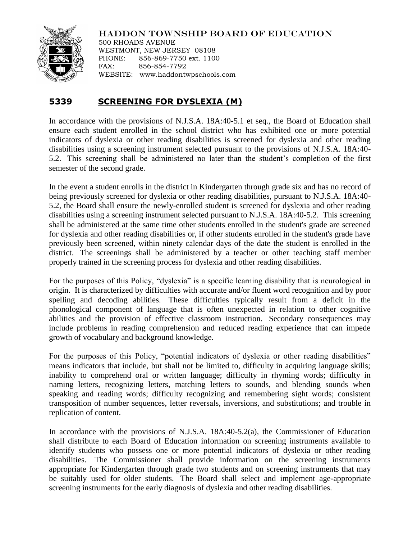

## HADDON TOWNSHIP BOARD OF EDUCATION

500 RHOADS AVENUE WESTMONT, NEW JERSEY 08108 PHONE: 856-869-7750 ext. 1100 FAX: 856-854-7792 WEBSITE: www.haddontwpschools.com

## **5339 SCREENING FOR DYSLEXIA (M)**

In accordance with the provisions of N.J.S.A. 18A:40-5.1 et seq., the Board of Education shall ensure each student enrolled in the school district who has exhibited one or more potential indicators of dyslexia or other reading disabilities is screened for dyslexia and other reading disabilities using a screening instrument selected pursuant to the provisions of N.J.S.A. 18A:40- 5.2. This screening shall be administered no later than the student's completion of the first semester of the second grade.

In the event a student enrolls in the district in Kindergarten through grade six and has no record of being previously screened for dyslexia or other reading disabilities, pursuant to N.J.S.A. 18A:40- 5.2, the Board shall ensure the newly-enrolled student is screened for dyslexia and other reading disabilities using a screening instrument selected pursuant to N.J.S.A. 18A:40-5.2. This screening shall be administered at the same time other students enrolled in the student's grade are screened for dyslexia and other reading disabilities or, if other students enrolled in the student's grade have previously been screened, within ninety calendar days of the date the student is enrolled in the district. The screenings shall be administered by a teacher or other teaching staff member properly trained in the screening process for dyslexia and other reading disabilities.

For the purposes of this Policy, "dyslexia" is a specific learning disability that is neurological in origin. It is characterized by difficulties with accurate and/or fluent word recognition and by poor spelling and decoding abilities. These difficulties typically result from a deficit in the phonological component of language that is often unexpected in relation to other cognitive abilities and the provision of effective classroom instruction. Secondary consequences may include problems in reading comprehension and reduced reading experience that can impede growth of vocabulary and background knowledge.

For the purposes of this Policy, "potential indicators of dyslexia or other reading disabilities" means indicators that include, but shall not be limited to, difficulty in acquiring language skills; inability to comprehend oral or written language; difficulty in rhyming words; difficulty in naming letters, recognizing letters, matching letters to sounds, and blending sounds when speaking and reading words; difficulty recognizing and remembering sight words; consistent transposition of number sequences, letter reversals, inversions, and substitutions; and trouble in replication of content.

In accordance with the provisions of N.J.S.A. 18A:40-5.2(a), the Commissioner of Education shall distribute to each Board of Education information on screening instruments available to identify students who possess one or more potential indicators of dyslexia or other reading disabilities. The Commissioner shall provide information on the screening instruments appropriate for Kindergarten through grade two students and on screening instruments that may be suitably used for older students. The Board shall select and implement age-appropriate screening instruments for the early diagnosis of dyslexia and other reading disabilities.